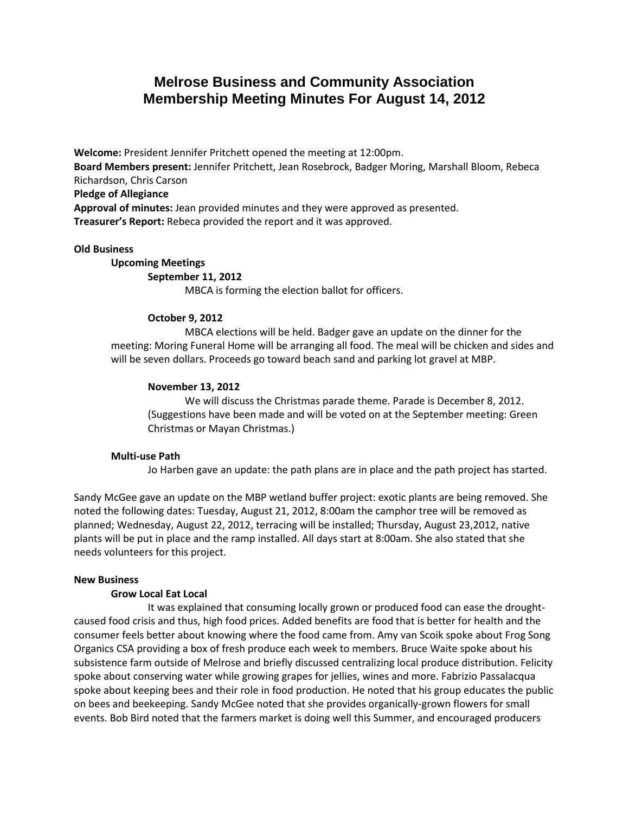# **Melrose Business and Community Association Membership Meeting Minutes For August 14, 2012**

**Welcome:** President Jennifer Pritchett opened the meeting at 12:00pm. **Board Members present:** Jennifer Pritchett, Jean Rosebrock, Badger Moring, Marshall Bloom, Rebeca Richardson, Chris Carson **Pledge of Allegiance Approval of minutes:** Jean provided minutes and they were approved as presented. **Treasurer's Report:** Rebeca provided the report and it was approved.

## **Old Business**

## **Upcoming Meetings**

# **September 11, 2012**

MBCA is forming the election ballot for officers.

# **October 9, 2012**

MBCA elections will be held. Badger gave an update on the dinner for the meeting: Moring Funeral Home will be arranging all food. The meal will be chicken and sides and will be seven dollars. Proceeds go toward beach sand and parking lot gravel at MBP.

## **November 13, 2012**

We will discuss the Christmas parade theme. Parade is December 8, 2012. (Suggestions have been made and will be voted on at the September meeting: Green Christmas or Mayan Christmas.)

### **Multi-use Path**

Jo Harben gave an update: the path plans are in place and the path project has started.

Sandy McGee gave an update on the MBP wetland buffer project: exotic plants are being removed. She noted the following dates: Tuesday, August 21, 2012, 8:00am the camphor tree will be removed as planned; Wednesday, August 22, 2012, terracing will be installed; Thursday, August 23,2012, native plants will be put in place and the ramp installed. All days start at 8:00am. She also stated that she needs volunteers for this project.

#### **New Business**

#### **Grow Local Eat Local**

It was explained that consuming locally grown or produced food can ease the droughtcaused food crisis and thus, high food prices. Added benefits are food that is better for health and the consumer feels better about knowing where the food came from. Amy van Scoik spoke about Frog Song Organics CSA providing a box of fresh produce each week to members. Bruce Waite spoke about his subsistence farm outside of Melrose and briefly discussed centralizing local produce distribution. Felicity spoke about conserving water while growing grapes for jellies, wines and more. Fabrizio Passalacqua spoke about keeping bees and their role in food production. He noted that his group educates the public on bees and beekeeping. Sandy McGee noted that she provides organically-grown flowers for small events. Bob Bird noted that the farmers market is doing well this Summer, and encouraged producers